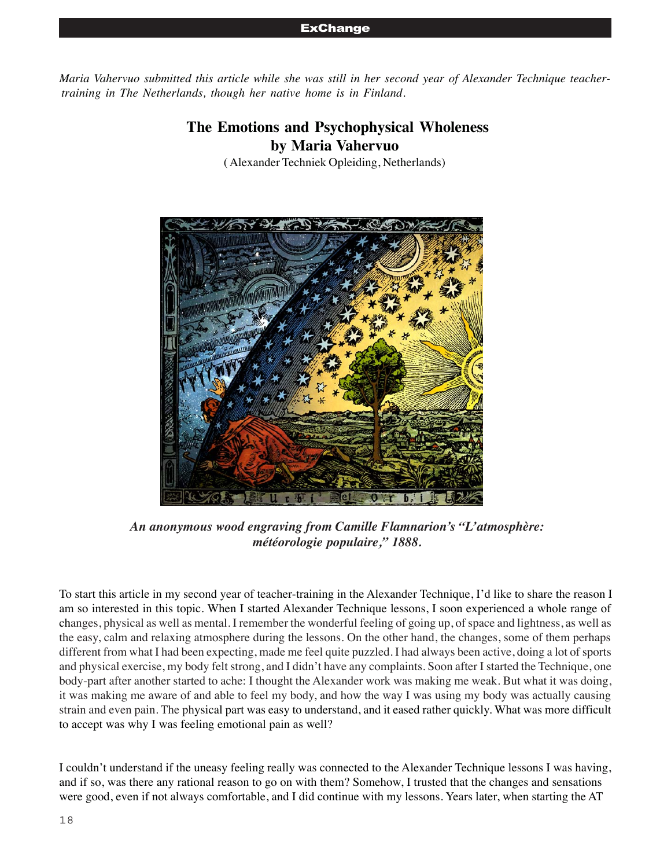#### **ExChange**

*Maria Vahervuo submitted this article while she was still in her second year of Alexander Technique teachertraining in The Netherlands, though her native home is in Finland.*

# **The Emotions and Psychophysical Wholeness by Maria Vahervuo**

( Alexander Techniek Opleiding, Netherlands)



*An anonymous wood engraving from Camille Flamnarion's "L'atmosphère: météorologie populaire," 1888.*

To start this article in my second year of teacher-training in the Alexander Technique, I'd like to share the reason I am so interested in this topic. When I started Alexander Technique lessons, I soon experienced a whole range of changes, physical as well as mental. I remember the wonderful feeling of going up, of space and lightness, as well as the easy, calm and relaxing atmosphere during the lessons. On the other hand, the changes, some of them perhaps different from what I had been expecting, made me feel quite puzzled. I had always been active, doing a lot of sports and physical exercise, my body felt strong, and I didn't have any complaints. Soon after I started the Technique, one body-part after another started to ache: I thought the Alexander work was making me weak. But what it was doing, it was making me aware of and able to feel my body, and how the way I was using my body was actually causing strain and even pain. The physical part was easy to understand, and it eased rather quickly. What was more difficult to accept was why I was feeling emotional pain as well?

I couldn't understand if the uneasy feeling really was connected to the Alexander Technique lessons I was having, and if so, was there any rational reason to go on with them? Somehow, I trusted that the changes and sensations were good, even if not always comfortable, and I did continue with my lessons. Years later, when starting the AT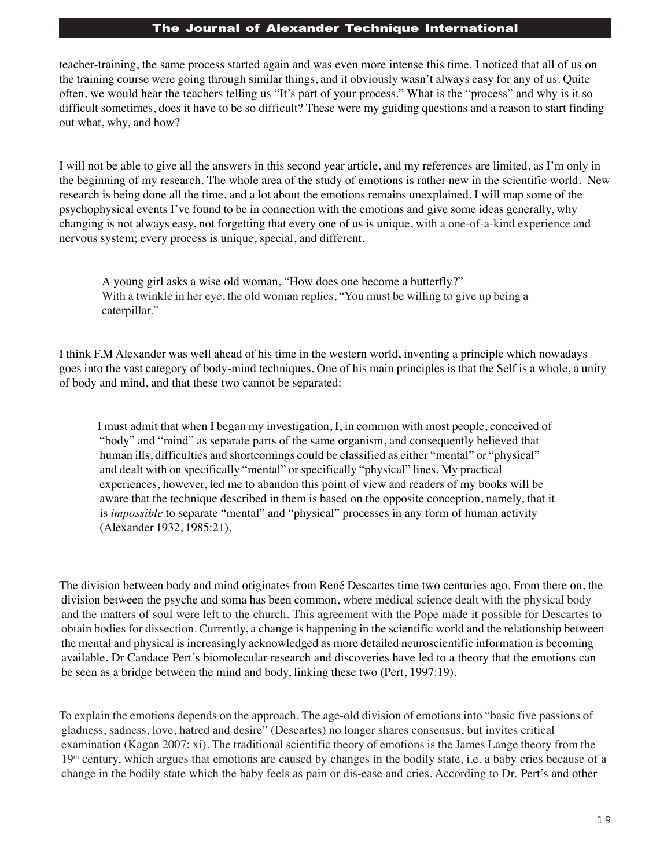teacher-training, the same process started again and was even more intense this time. I noticed that all of us on the training course were going through similar things, and it obviously wasn't always easy for any of us. Quite often, we would hear the teachers telling us "It's part of your process." What is the "process" and why is it so difficult sometimes, does it have to be so difficult? These were my guiding questions and a reason to start finding out what, why, and how?

I will not be able to give all the answers in this second year article, and my references are limited, as I'm only in the beginning of my research. The whole area of the study of emotions is rather new in the scientific world. New research is being done all the time, and a lot about the emotions remains unexplained. I will map some of the psychophysical events I've found to be in connection with the emotions and give some ideas generally, why changing is not always easy, not forgetting that every one of us is unique, with a one-of-a-kind experience and nervous system; every process is unique, special, and different.

A young girl asks a wise old woman, "How does one become a butterfly?" With a twinkle in her eye, the old woman replies, "You must be willing to give up being a caterpillar."

I think F.M Alexander was well ahead of his time in the western world, inventing a principle which nowadays goes into the vast category of body-mind techniques. One of his main principles is that the Self is a whole, a unity of body and mind, and that these two cannot be separated:

I must admit that when I began my investigation, I, in common with most people, conceived of "body" and "mind" as separate parts of the same organism, and consequently believed that human ills, difficulties and shortcomings could be classified as either "mental" or "physical" and dealt with on specifically "mental" or specifically "physical" lines. My practical experiences, however, led me to abandon this point of view and readers of my books will be aware that the technique described in them is based on the opposite conception, namely, that it is *impossible* to separate "mental" and "physical" processes in any form of human activity (Alexander 1932, 1985:21).

The division between body and mind originates from René Descartes time two centuries ago. From there on, the division between the psyche and soma has been common, where medical science dealt with the physical body and the matters of soul were left to the church. This agreement with the Pope made it possible for Descartes to obtain bodies for dissection. Currently, a change is happening in the scientific world and the relationship between the mental and physical is increasingly acknowledged as more detailed neuroscientific information is becoming available. Dr Candace Pert's biomolecular research and discoveries have led to a theory that the emotions can be seen as a bridge between the mind and body, linking these two (Pert, 1997:19).

To explain the emotions depends on the approach. The age-old division of emotions into "basic five passions of gladness, sadness, love, hatred and desire" (Descartes) no longer shares consensus, but invites critical examination (Kagan 2007: xi). The traditional scientific theory of emotions is the James Lange theory from the 19<sup>th</sup> century, which argues that emotions are caused by changes in the bodily state, i.e. a baby cries because of a change in the bodily state which the baby feels as pain or dis-ease and cries. According to Dr. Pert's and other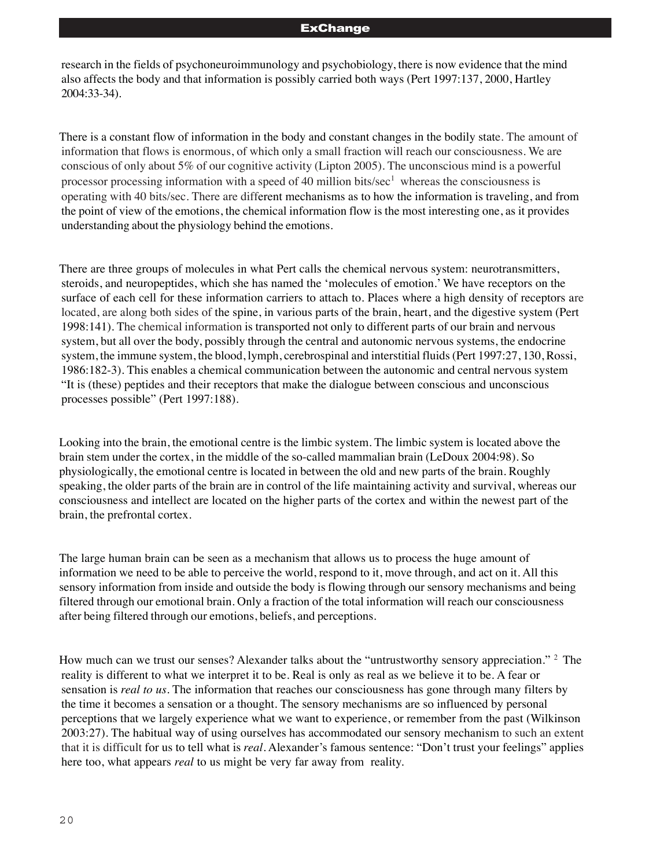#### **ExChange**

research in the fields of psychoneuroimmunology and psychobiology, there is now evidence that the mind also affects the body and that information is possibly carried both ways (Pert 1997:137, 2000, Hartley 2004:33-34).

There is a constant flow of information in the body and constant changes in the bodily state. The amount of information that flows is enormous, of which only a small fraction will reach our consciousness. We are conscious of only about 5% of our cognitive activity (Lipton 2005). The unconscious mind is a powerful processor processing information with a speed of 40 million bits/sec<sup>1</sup> whereas the consciousness is operating with 40 bits/sec. There are different mechanisms as to how the information is traveling, and from the point of view of the emotions, the chemical information flow is the most interesting one, as it provides understanding about the physiology behind the emotions.

There are three groups of molecules in what Pert calls the chemical nervous system: neurotransmitters, steroids, and neuropeptides, which she has named the 'molecules of emotion.' We have receptors on the surface of each cell for these information carriers to attach to. Places where a high density of receptors are located, are along both sides of the spine, in various parts of the brain, heart, and the digestive system (Pert 1998:141). The chemical information is transported not only to different parts of our brain and nervous system, but all over the body, possibly through the central and autonomic nervous systems, the endocrine system, the immune system, the blood, lymph, cerebrospinal and interstitial fluids (Pert 1997:27, 130, Rossi, 1986:182-3). This enables a chemical communication between the autonomic and central nervous system "It is (these) peptides and their receptors that make the dialogue between conscious and unconscious processes possible" (Pert 1997:188).

Looking into the brain, the emotional centre is the limbic system. The limbic system is located above the brain stem under the cortex, in the middle of the so-called mammalian brain (LeDoux 2004:98). So physiologically, the emotional centre is located in between the old and new parts of the brain. Roughly speaking, the older parts of the brain are in control of the life maintaining activity and survival, whereas our consciousness and intellect are located on the higher parts of the cortex and within the newest part of the brain, the prefrontal cortex.

The large human brain can be seen as a mechanism that allows us to process the huge amount of information we need to be able to perceive the world, respond to it, move through, and act on it. All this sensory information from inside and outside the body is flowing through our sensory mechanisms and being filtered through our emotional brain. Only a fraction of the total information will reach our consciousness after being filtered through our emotions, beliefs, and perceptions.

How much can we trust our senses? Alexander talks about the "untrustworthy sensory appreciation." <sup>2</sup> The reality is different to what we interpret it to be. Real is only as real as we believe it to be. A fear or sensation is *real to us*. The information that reaches our consciousness has gone through many filters by the time it becomes a sensation or a thought. The sensory mechanisms are so influenced by personal perceptions that we largely experience what we want to experience, or remember from the past (Wilkinson 2003:27). The habitual way of using ourselves has accommodated our sensory mechanism to such an extent that it is difficult for us to tell what is *real*. Alexander's famous sentence: "Don't trust your feelings" applies here too, what appears *real* to us might be very far away from reality.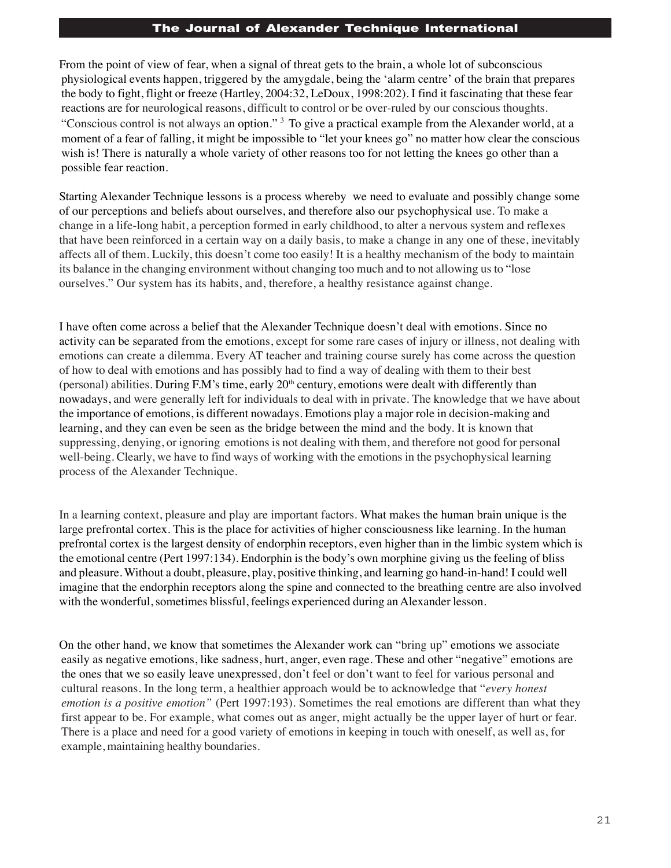From the point of view of fear, when a signal of threat gets to the brain, a whole lot of subconscious physiological events happen, triggered by the amygdale, being the 'alarm centre' of the brain that prepares the body to fight, flight or freeze (Hartley, 2004:32, LeDoux, 1998:202). I find it fascinating that these fear reactions are for neurological reasons, difficult to control or be over-ruled by our conscious thoughts. "Conscious control is not always an option." 3 To give a practical example from the Alexander world, at a moment of a fear of falling, it might be impossible to "let your knees go" no matter how clear the conscious wish is! There is naturally a whole variety of other reasons too for not letting the knees go other than a possible fear reaction.

Starting Alexander Technique lessons is a process whereby we need to evaluate and possibly change some of our perceptions and beliefs about ourselves, and therefore also our psychophysical use. To make a change in a life-long habit, a perception formed in early childhood, to alter a nervous system and reflexes that have been reinforced in a certain way on a daily basis, to make a change in any one of these, inevitably affects all of them. Luckily, this doesn't come too easily! It is a healthy mechanism of the body to maintain its balance in the changing environment without changing too much and to not allowing us to "lose ourselves." Our system has its habits, and, therefore, a healthy resistance against change.

I have often come across a belief that the Alexander Technique doesn't deal with emotions. Since no activity can be separated from the emotions, except for some rare cases of injury or illness, not dealing with emotions can create a dilemma. Every AT teacher and training course surely has come across the question of how to deal with emotions and has possibly had to find a way of dealing with them to their best (personal) abilities. During F.M's time, early  $20<sup>th</sup>$  century, emotions were dealt with differently than nowadays, and were generally left for individuals to deal with in private. The knowledge that we have about the importance of emotions, is different nowadays. Emotions play a major role in decision-making and learning, and they can even be seen as the bridge between the mind and the body. It is known that suppressing, denying, or ignoring emotions is not dealing with them, and therefore not good for personal well-being. Clearly, we have to find ways of working with the emotions in the psychophysical learning process of the Alexander Technique.

In a learning context, pleasure and play are important factors. What makes the human brain unique is the large prefrontal cortex. This is the place for activities of higher consciousness like learning. In the human prefrontal cortex is the largest density of endorphin receptors, even higher than in the limbic system which is the emotional centre (Pert 1997:134). Endorphin is the body's own morphine giving us the feeling of bliss and pleasure. Without a doubt, pleasure, play, positive thinking, and learning go hand-in-hand! I could well imagine that the endorphin receptors along the spine and connected to the breathing centre are also involved with the wonderful, sometimes blissful, feelings experienced during an Alexander lesson.

On the other hand, we know that sometimes the Alexander work can "bring up" emotions we associate easily as negative emotions, like sadness, hurt, anger, even rage. These and other "negative" emotions are the ones that we so easily leave unexpressed, don't feel or don't want to feel for various personal and cultural reasons. In the long term, a healthier approach would be to acknowledge that "*every honest emotion is a positive emotion"* (Pert 1997:193)*.* Sometimes the real emotions are different than what they first appear to be. For example, what comes out as anger, might actually be the upper layer of hurt or fear. There is a place and need for a good variety of emotions in keeping in touch with oneself, as well as, for example, maintaining healthy boundaries.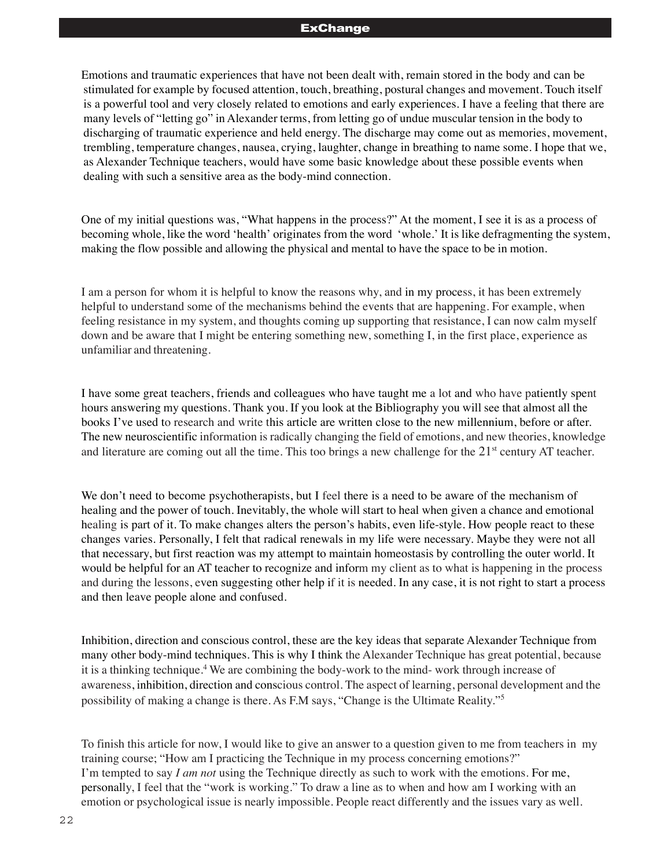#### **ExChange**

Emotions and traumatic experiences that have not been dealt with, remain stored in the body and can be stimulated for example by focused attention, touch, breathing, postural changes and movement. Touch itself is a powerful tool and very closely related to emotions and early experiences. I have a feeling that there are many levels of "letting go" in Alexander terms, from letting go of undue muscular tension in the body to discharging of traumatic experience and held energy. The discharge may come out as memories, movement, trembling, temperature changes, nausea, crying, laughter, change in breathing to name some. I hope that we, as Alexander Technique teachers, would have some basic knowledge about these possible events when dealing with such a sensitive area as the body-mind connection.

One of my initial questions was, "What happens in the process?" At the moment, I see it is as a process of becoming whole, like the word 'health' originates from the word 'whole.' It is like defragmenting the system, making the flow possible and allowing the physical and mental to have the space to be in motion.

I am a person for whom it is helpful to know the reasons why, and in my process, it has been extremely helpful to understand some of the mechanisms behind the events that are happening. For example, when feeling resistance in my system, and thoughts coming up supporting that resistance, I can now calm myself down and be aware that I might be entering something new, something I, in the first place, experience as unfamiliar and threatening.

I have some great teachers, friends and colleagues who have taught me a lot and who have patiently spent hours answering my questions. Thank you. If you look at the Bibliography you will see that almost all the books I've used to research and write this article are written close to the new millennium, before or after. The new neuroscientific information is radically changing the field of emotions, and new theories, knowledge and literature are coming out all the time. This too brings a new challenge for the  $21<sup>st</sup>$  century AT teacher.

We don't need to become psychotherapists, but I feel there is a need to be aware of the mechanism of healing and the power of touch. Inevitably, the whole will start to heal when given a chance and emotional healing is part of it. To make changes alters the person's habits, even life-style. How people react to these changes varies. Personally, I felt that radical renewals in my life were necessary. Maybe they were not all that necessary, but first reaction was my attempt to maintain homeostasis by controlling the outer world. It would be helpful for an AT teacher to recognize and inform my client as to what is happening in the process and during the lessons, even suggesting other help if it is needed. In any case, it is not right to start a process and then leave people alone and confused.

Inhibition, direction and conscious control, these are the key ideas that separate Alexander Technique from many other body-mind techniques. This is why I think the Alexander Technique has great potential, because it is a thinking technique.<sup>4</sup> We are combining the body-work to the mind- work through increase of awareness, inhibition, direction and conscious control. The aspect of learning, personal development and the possibility of making a change is there. As F.M says, "Change is the Ultimate Reality."5

To finish this article for now, I would like to give an answer to a question given to me from teachers in my training course; "How am I practicing the Technique in my process concerning emotions?" I'm tempted to say *I am not* using the Technique directly as such to work with the emotions. For me, personally, I feel that the "work is working." To draw a line as to when and how am I working with an emotion or psychological issue is nearly impossible. People react differently and the issues vary as well.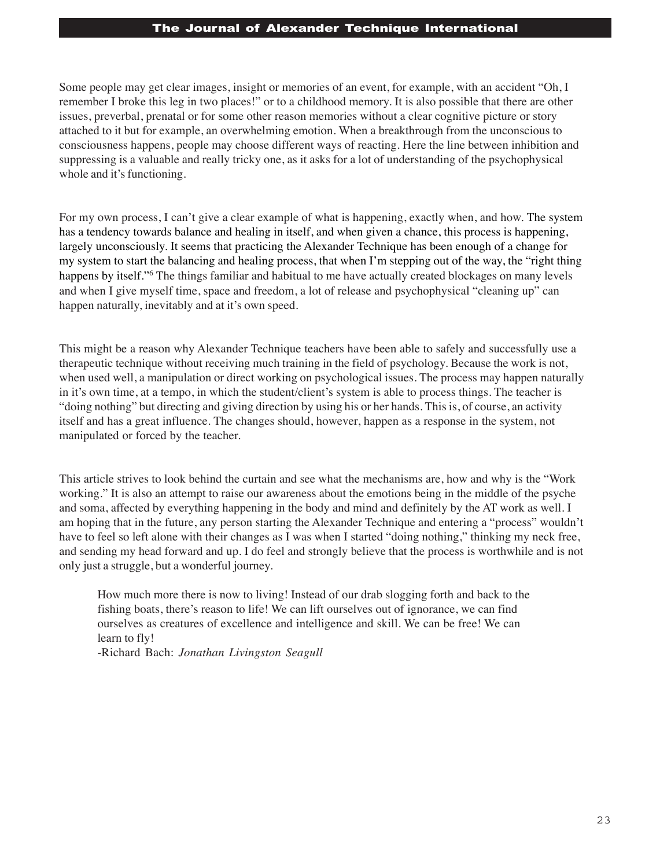Some people may get clear images, insight or memories of an event, for example, with an accident "Oh, I remember I broke this leg in two places!" or to a childhood memory. It is also possible that there are other issues, preverbal, prenatal or for some other reason memories without a clear cognitive picture or story attached to it but for example, an overwhelming emotion. When a breakthrough from the unconscious to consciousness happens, people may choose different ways of reacting. Here the line between inhibition and suppressing is a valuable and really tricky one, as it asks for a lot of understanding of the psychophysical whole and it's functioning.

For my own process, I can't give a clear example of what is happening, exactly when, and how. The system has a tendency towards balance and healing in itself, and when given a chance, this process is happening, largely unconsciously. It seems that practicing the Alexander Technique has been enough of a change for my system to start the balancing and healing process, that when I'm stepping out of the way, the "right thing happens by itself."<sup>6</sup> The things familiar and habitual to me have actually created blockages on many levels and when I give myself time, space and freedom, a lot of release and psychophysical "cleaning up" can happen naturally, inevitably and at it's own speed.

This might be a reason why Alexander Technique teachers have been able to safely and successfully use a therapeutic technique without receiving much training in the field of psychology. Because the work is not, when used well, a manipulation or direct working on psychological issues. The process may happen naturally in it's own time, at a tempo, in which the student/client's system is able to process things. The teacher is "doing nothing" but directing and giving direction by using his or her hands. This is, of course, an activity itself and has a great influence. The changes should, however, happen as a response in the system, not manipulated or forced by the teacher.

This article strives to look behind the curtain and see what the mechanisms are, how and why is the "Work working." It is also an attempt to raise our awareness about the emotions being in the middle of the psyche and soma, affected by everything happening in the body and mind and definitely by the AT work as well. I am hoping that in the future, any person starting the Alexander Technique and entering a "process" wouldn't have to feel so left alone with their changes as I was when I started "doing nothing," thinking my neck free, and sending my head forward and up. I do feel and strongly believe that the process is worthwhile and is not only just a struggle, but a wonderful journey.

How much more there is now to living! Instead of our drab slogging forth and back to the fishing boats, there's reason to life! We can lift ourselves out of ignorance, we can find ourselves as creatures of excellence and intelligence and skill. We can be free! We can learn to fly!

-Richard Bach: *Jonathan Livingston Seagull*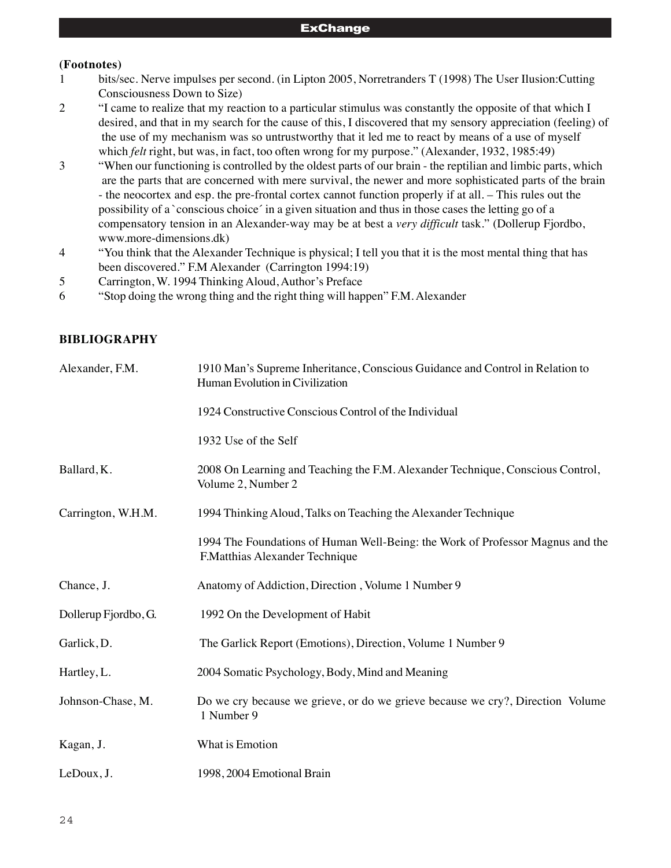## **(Footnotes)**

- 1 bits/sec. Nerve impulses per second. (in Lipton 2005, Norretranders T (1998) The User Ilusion:Cutting Consciousness Down to Size)
- 2 "I came to realize that my reaction to a particular stimulus was constantly the opposite of that which I desired, and that in my search for the cause of this, I discovered that my sensory appreciation (feeling) of the use of my mechanism was so untrustworthy that it led me to react by means of a use of myself which *felt* right, but was, in fact, too often wrong for my purpose." (Alexander, 1932, 1985:49)
- 3 "When our functioning is controlled by the oldest parts of our brain the reptilian and limbic parts, which are the parts that are concerned with mere survival, the newer and more sophisticated parts of the brain - the neocortex and esp. the pre-frontal cortex cannot function properly if at all. – This rules out the possibility of a `conscious choice´ in a given situation and thus in those cases the letting go of a compensatory tension in an Alexander-way may be at best a *very difficult* task." (Dollerup Fjordbo, www.more-dimensions.dk)
- 4 "You think that the Alexander Technique is physical; I tell you that it is the most mental thing that has been discovered." F.M Alexander (Carrington 1994:19)
- 5 Carrington, W. 1994 Thinking Aloud, Author's Preface
- 6 "Stop doing the wrong thing and the right thing will happen" F.M. Alexander

# **BIBLIOGRAPHY**

| Alexander, F.M.      | 1910 Man's Supreme Inheritance, Conscious Guidance and Control in Relation to<br>Human Evolution in Civilization |
|----------------------|------------------------------------------------------------------------------------------------------------------|
|                      | 1924 Constructive Conscious Control of the Individual                                                            |
|                      | 1932 Use of the Self                                                                                             |
| Ballard, K.          | 2008 On Learning and Teaching the F.M. Alexander Technique, Conscious Control,<br>Volume 2, Number 2             |
| Carrington, W.H.M.   | 1994 Thinking Aloud, Talks on Teaching the Alexander Technique                                                   |
|                      | 1994 The Foundations of Human Well-Being: the Work of Professor Magnus and the<br>F.Matthias Alexander Technique |
| Chance, J.           | Anatomy of Addiction, Direction, Volume 1 Number 9                                                               |
| Dollerup Fjordbo, G. | 1992 On the Development of Habit                                                                                 |
| Garlick, D.          | The Garlick Report (Emotions), Direction, Volume 1 Number 9                                                      |
| Hartley, L.          | 2004 Somatic Psychology, Body, Mind and Meaning                                                                  |
| Johnson-Chase, M.    | Do we cry because we grieve, or do we grieve because we cry?, Direction Volume<br>1 Number 9                     |
| Kagan, J.            | What is Emotion                                                                                                  |
| LeDoux, J.           | 1998, 2004 Emotional Brain                                                                                       |